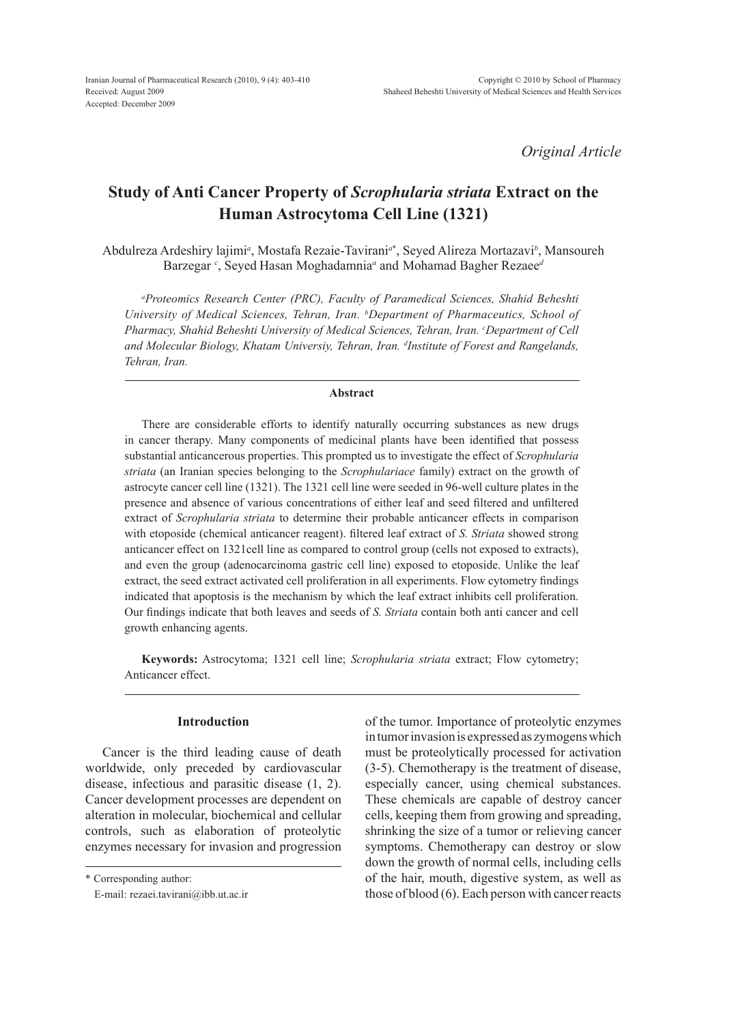*Original Article*

# **Study of Anti Cancer Property of** *Scrophularia striata* **Extract on the Human Astrocytoma Cell Line (1321)**

Abdulreza Ardeshiry lajimi*<sup>a</sup>* , Mostafa Rezaie-Tavirani*<sup>a</sup>*\* , Seyed Alireza Mortazavi*<sup>b</sup>* , Mansoureh Barzegar *<sup>c</sup>* , Seyed Hasan Moghadamnia*<sup>a</sup>* and Mohamad Bagher Rezaee*<sup>d</sup>*

*a Proteomics Research Center (PRC), Faculty of Paramedical Sciences, Shahid Beheshti University of Medical Sciences, Tehran, Iran. b Department of Pharmaceutics, School of*  Pharmacy, Shahid Beheshti University of Medical Sciences, Tehran, Iran. <sup>c</sup>Department of Cell *and Molecular Biology, Khatam Universiy, Tehran, Iran. d Institute of Forest and Rangelands, Tehran, Iran.*

## **Abstract**

There are considerable efforts to identify naturally occurring substances as new drugs in cancer therapy. Many components of medicinal plants have been identified that possess substantial anticancerous properties. This prompted us to investigate the effect of *Scrophularia striata* (an Iranian species belonging to the *Scrophulariace* family) extract on the growth of astrocyte cancer cell line (1321). The 1321 cell line were seeded in 96-well culture plates in the presence and absence of various concentrations of either leaf and seed filtered and unfiltered extract of *Scrophularia striata* to determine their probable anticancer effects in comparison with etoposide (chemical anticancer reagent). filtered leaf extract of *S. Striata* showed strong anticancer effect on 1321cell line as compared to control group (cells not exposed to extracts), and even the group (adenocarcinoma gastric cell line) exposed to etoposide. Unlike the leaf extract, the seed extract activated cell proliferation in all experiments. Flow cytometry findings indicated that apoptosis is the mechanism by which the leaf extract inhibits cell proliferation. Our findings indicate that both leaves and seeds of *S. Striata* contain both anti cancer and cell growth enhancing agents.

**Keywords:** Astrocytoma; 1321 cell line; *Scrophularia striata* extract; Flow cytometry; Anticancer effect.

## **Introduction**

Cancer is the third leading cause of death worldwide, only preceded by cardiovascular disease, infectious and parasitic disease (1, 2). Cancer development processes are dependent on alteration in molecular, biochemical and cellular controls, such as elaboration of proteolytic enzymes necessary for invasion and progression

\* Corresponding author:

of the tumor. Importance of proteolytic enzymes in tumor invasion is expressed as zymogens which must be proteolytically processed for activation (3-5). Chemotherapy is the treatment of disease, especially cancer, using chemical substances. These chemicals are capable of destroy cancer cells, keeping them from growing and spreading, shrinking the size of a tumor or relieving cancer symptoms. Chemotherapy can destroy or slow down the growth of normal cells, including cells of the hair, mouth, digestive system, as well as those of blood (6). Each person with cancer reacts

E-mail: rezaei.tavirani@ibb.ut.ac.ir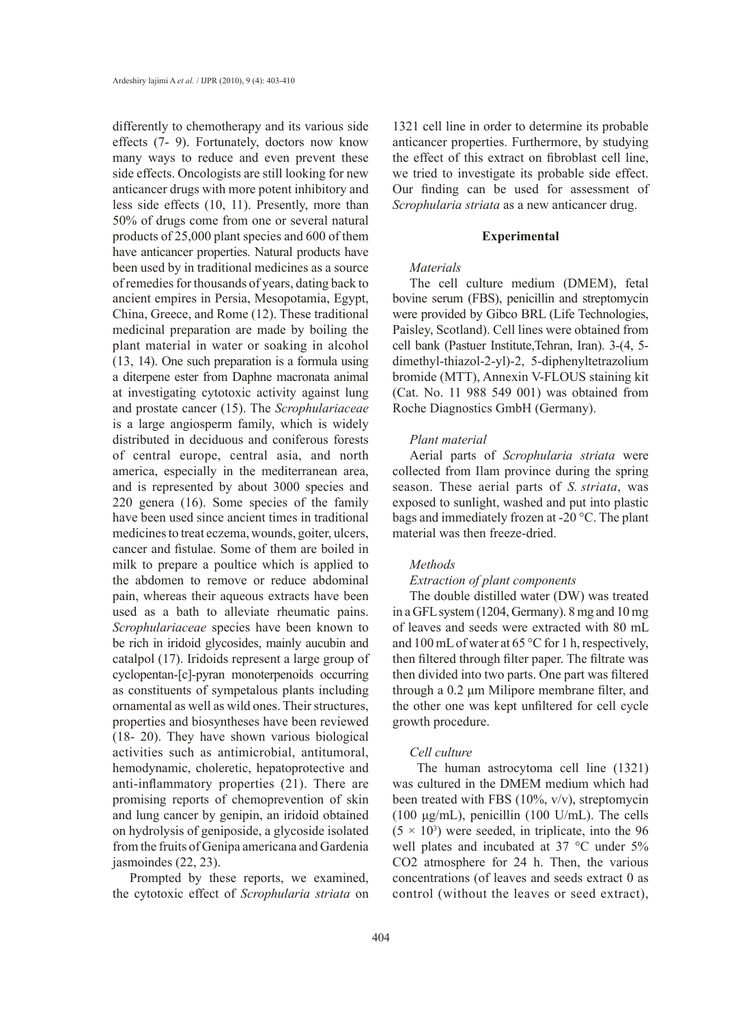differently to chemotherapy and its various side effects (7- 9). Fortunately, doctors now know many ways to reduce and even prevent these side effects. Oncologists are still looking for new anticancer drugs with more potent inhibitory and less side effects (10, 11). Presently, more than 50% of drugs come from one or several natural products of 25,000 plant species and 600 of them have anticancer properties. Natural products have been used by in traditional medicines as a source of remedies for thousands of years, dating back to ancient empires in Persia, Mesopotamia, Egypt, China, Greece, and Rome (12). These traditional medicinal preparation are made by boiling the plant material in water or soaking in alcohol (13, 14). One such preparation is a formula using a diterpene ester from Daphne macronata animal at investigating cytotoxic activity against lung and prostate cancer (15). The *Scrophulariaceae*  is a large angiosperm family, which is widely distributed in deciduous and coniferous forests of central europe, central asia, and north america, especially in the mediterranean area, and is represented by about 3000 species and 220 genera (16). Some species of the family have been used since ancient times in traditional medicines to treat eczema, wounds, goiter, ulcers, cancer and fistulae. Some of them are boiled in milk to prepare a poultice which is applied to the abdomen to remove or reduce abdominal pain, whereas their aqueous extracts have been used as a bath to alleviate rheumatic pains. *Scrophulariaceae* species have been known to be rich in iridoid glycosides, mainly aucubin and catalpol (17). Iridoids represent a large group of cyclopentan-[c]-pyran monoterpenoids occurring as constituents of sympetalous plants including ornamental as well as wild ones. Their structures, properties and biosyntheses have been reviewed (18- 20). They have shown various biological activities such as antimicrobial, antitumoral, hemodynamic, choleretic, hepatoprotective and anti-inflammatory properties (21). There are promising reports of chemoprevention of skin and lung cancer by genipin, an iridoid obtained on hydrolysis of geniposide, a glycoside isolated from the fruits of Genipa americana and Gardenia jasmoindes (22, 23).

Prompted by these reports, we examined, the cytotoxic effect of *Scrophularia striata* on

1321 cell line in order to determine its probable anticancer properties. Furthermore, by studying the effect of this extract on fibroblast cell line, we tried to investigate its probable side effect. Our finding can be used for assessment of *Scrophularia striata* as a new anticancer drug.

#### **Experimental**

## *Materials*

The cell culture medium (DMEM), fetal bovine serum (FBS), penicillin and streptomycin were provided by Gibco BRL (Life Technologies, Paisley, Scotland). Cell lines were obtained from cell bank (Pastuer Institute,Tehran, Iran). 3-(4, 5 dimethyl-thiazol-2-yl)-2, 5-diphenyltetrazolium bromide (MTT), Annexin V-FLOUS staining kit (Cat. No. 11 988 549 001) was obtained from Roche Diagnostics GmbH (Germany).

### *Plant material*

Aerial parts of *Scrophularia striata* were collected from Ilam province during the spring season. These aerial parts of *S. striata*, was exposed to sunlight, washed and put into plastic bags and immediately frozen at -20 °C. The plant material was then freeze-dried.

## *Methods*

## *Extraction of plant components*

The double distilled water (DW) was treated in a GFL system (1204, Germany). 8 mg and 10 mg of leaves and seeds were extracted with 80 mL and 100 mL of water at 65 °C for 1 h, respectively, then filtered through filter paper. The filtrate was then divided into two parts. One part was filtered through a 0.2 μm Milipore membrane filter, and the other one was kept unfiltered for cell cycle growth procedure.

## *Cell culture*

The human astrocytoma cell line (1321) was cultured in the DMEM medium which had been treated with FBS (10%, v/v), streptomycin (100 μg/mL), penicillin (100 U/mL). The cells  $(5 \times 10^3)$  were seeded, in triplicate, into the 96 well plates and incubated at 37 °C under 5% CO2 atmosphere for 24 h. Then, the various concentrations (of leaves and seeds extract 0 as control (without the leaves or seed extract),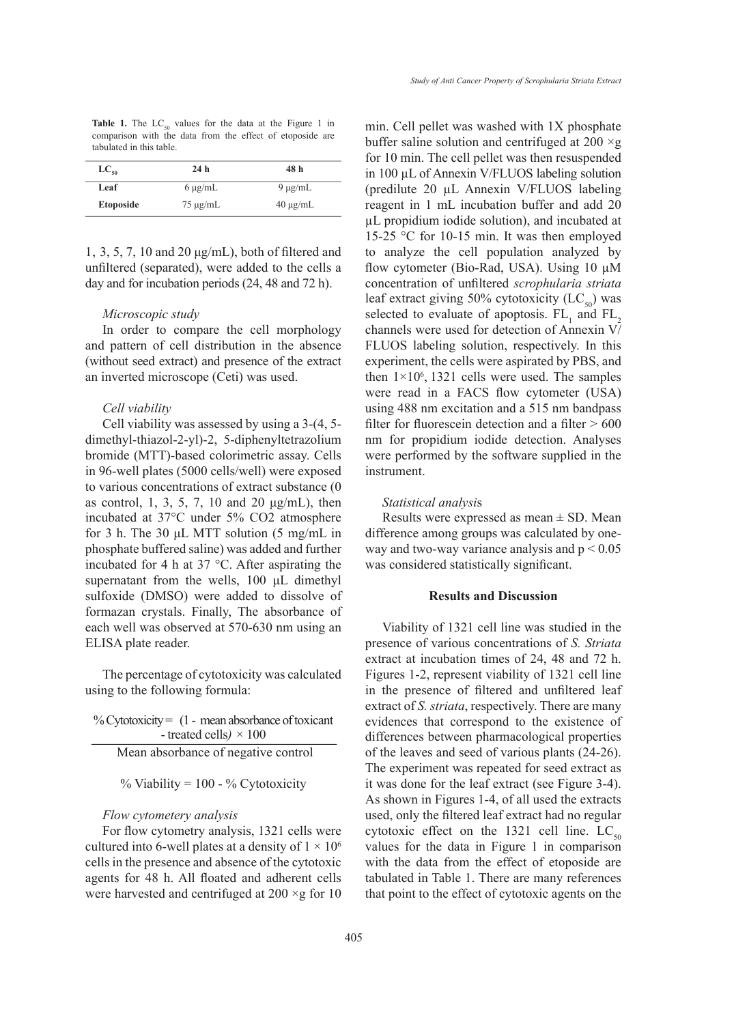**Table 1.** The  $LC_{50}$  values for the data at the Figure 1 in comparison with the data from the effect of etoposide are tabulated in this table.

| $LC_{50}$        | 24h           | 48 h          |
|------------------|---------------|---------------|
| Leaf             | $6 \mu g/mL$  | $9 \mu g/mL$  |
| <b>Etoposide</b> | $75 \mu g/mL$ | $40 \mu g/mL$ |

1, 3, 5, 7, 10 and 20 μg/mL), both of filtered and unfiltered (separated), were added to the cells a day and for incubation periods (24, 48 and 72 h).

#### *Microscopic study*

In order to compare the cell morphology and pattern of cell distribution in the absence (without seed extract) and presence of the extract an inverted microscope (Ceti) was used.

#### *Cell viability*

Cell viability was assessed by using a 3-(4, 5 dimethyl-thiazol-2-yl)-2, 5-diphenyltetrazolium bromide (MTT)-based colorimetric assay. Cells in 96-well plates (5000 cells/well) were exposed to various concentrations of extract substance (0 as control, 1, 3, 5, 7, 10 and 20 μg/mL), then incubated at 37°C under 5% CO2 atmosphere for 3 h. The 30 μL MTT solution (5 mg/mL in phosphate buffered saline) was added and further incubated for 4 h at 37 °C. After aspirating the supernatant from the wells, 100 μL dimethyl sulfoxide (DMSO) were added to dissolve of formazan crystals. Finally, The absorbance of each well was observed at 570-630 nm using an ELISA plate reader.

The percentage of cytotoxicity was calculated using to the following formula:

% Cytotoxicity  $= (1 - \text{mean absorbance of toxicant})$ - treated cells*) ×* 100 Mean absorbance of negative control

 $%$  Viability = 100 -  $%$  Cytotoxicity

## *Flow cytometery analysis*

For flow cytometry analysis, 1321 cells were cultured into 6-well plates at a density of  $1 \times 10^6$ cells in the presence and absence of the cytotoxic agents for 48 h. All floated and adherent cells were harvested and centrifuged at  $200 \times g$  for 10 min. Cell pellet was washed with 1X phosphate buffer saline solution and centrifuged at  $200 \times g$ for 10 min. The cell pellet was then resuspended in 100 µL of Annexin V/FLUOS labeling solution (predilute 20 µL Annexin V/FLUOS labeling reagent in 1 mL incubation buffer and add 20 µL propidium iodide solution), and incubated at 15-25 °C for 10-15 min. It was then employed to analyze the cell population analyzed by flow cytometer (Bio-Rad, USA). Using 10 µM concentration of unfiltered *scrophularia striata*  leaf extract giving 50% cytotoxicity  $(LC_{50})$  was selected to evaluate of apoptosis.  $FL_1$  and  $FL_2$ channels were used for detection of Annexin V/ FLUOS labeling solution, respectively. In this experiment, the cells were aspirated by PBS, and then  $1 \times 10^6$ , 1321 cells were used. The samples were read in a FACS flow cytometer (USA) using 488 nm excitation and a 515 nm bandpass filter for fluorescein detection and a filter  $> 600$ nm for propidium iodide detection. Analyses were performed by the software supplied in the instrument.

#### *Statistical analysi*s

Results were expressed as mean  $\pm$  SD. Mean difference among groups was calculated by oneway and two-way variance analysis and  $p < 0.05$ was considered statistically significant.

## **Results and Discussion**

Viability of 1321 cell line was studied in the presence of various concentrations of *S. Striata* extract at incubation times of 24, 48 and 72 h. Figures 1-2, represent viability of 1321 cell line in the presence of filtered and unfiltered leaf extract of *S. striata*, respectively. There are many evidences that correspond to the existence of differences between pharmacological properties of the leaves and seed of various plants (24-26). The experiment was repeated for seed extract as it was done for the leaf extract (see Figure 3-4). As shown in Figures 1-4, of all used the extracts used, only the filtered leaf extract had no regular cytotoxic effect on the 1321 cell line.  $LC_{50}$ values for the data in Figure 1 in comparison with the data from the effect of etoposide are tabulated in Table 1. There are many references that point to the effect of cytotoxic agents on the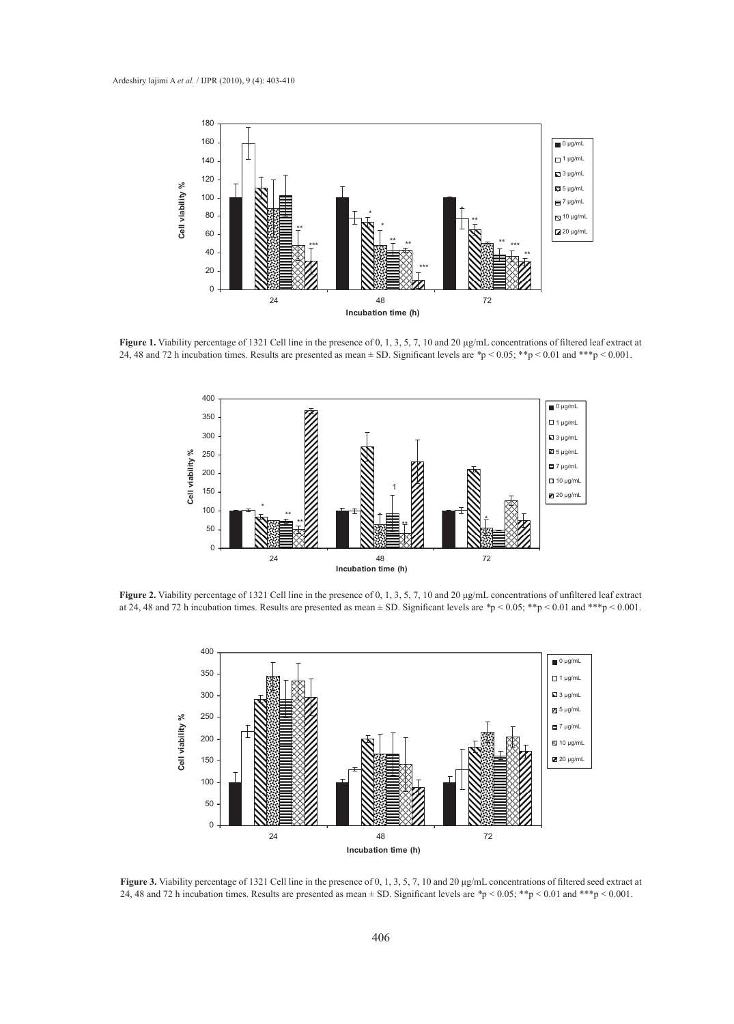

**Figure 1.** Viability percentage of 1321 Cell line in the presence of 0, 1, 3, 5, 7, 10 and 20 μg/mL concentrations of filtered leaf extract at 24, 48 and 72 h incubation times. Results are presented as mean ± SD. Significant levels are *\**p < 0.05; \*\*p < 0.01 and \*\*\*p < 0.001.



**Figure 2.** Viability percentage of 1321 Cell line in the presence of 0, 1, 3, 5, 7, 10 and 20 μg/mL concentrations of unfiltered leaf extract at 24, 48 and 72 h incubation times. Results are presented as mean ± SD. Significant levels are *\**p < 0.05; \*\*p < 0.01 and \*\*\*p < 0.001.



**Figure 3.** Viability percentage of 1321 Cell line in the presence of 0, 1, 3, 5, 7, 10 and 20 μg/mL concentrations of filtered seed extract at 24, 48 and 72 h incubation times. Results are presented as mean ± SD. Significant levels are *\**p < 0.05; \*\*p < 0.01 and \*\*\*p < 0.001.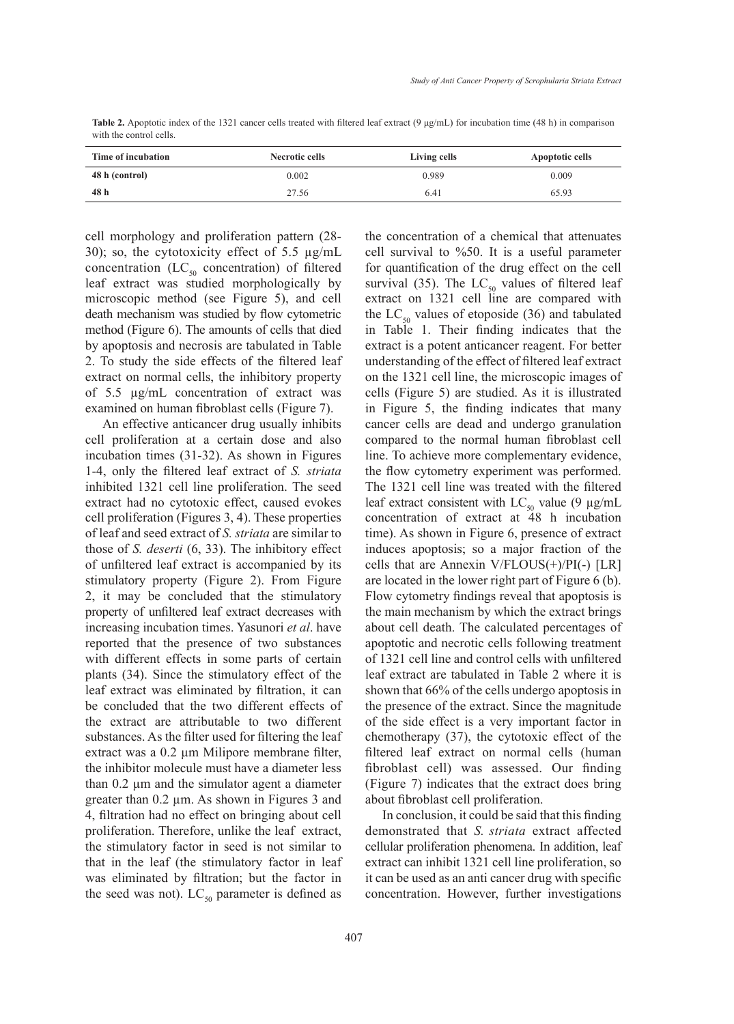**Table 2.** Apoptotic index of the 1321 cancer cells treated with filtered leaf extract (9 μg/mL) for incubation time (48 h) in comparison with the control cells.

| Time of incubation | Necrotic cells | Living cells | Apoptotic cells |
|--------------------|----------------|--------------|-----------------|
| 48 h (control)     | 0.002          | 0.989        | 0.009           |
| 48 h               | 27.56          | 6.41         | 65.93           |

cell morphology and proliferation pattern (28- 30); so, the cytotoxicity effect of 5.5 µg/mL concentration  $(LC_{50}$  concentration) of filtered leaf extract was studied morphologically by microscopic method (see Figure 5), and cell death mechanism was studied by flow cytometric method (Figure 6). The amounts of cells that died by apoptosis and necrosis are tabulated in Table 2. To study the side effects of the filtered leaf extract on normal cells, the inhibitory property of 5.5 µg/mL concentration of extract was examined on human fibroblast cells (Figure 7).

An effective anticancer drug usually inhibits cell proliferation at a certain dose and also incubation times (31-32). As shown in Figures 1-4, only the filtered leaf extract of *S. striata*  inhibited 1321 cell line proliferation. The seed extract had no cytotoxic effect, caused evokes cell proliferation (Figures 3, 4). These properties of leaf and seed extract of *S. striata* are similar to those of *S. deserti* (6, 33). The inhibitory effect of unfiltered leaf extract is accompanied by its stimulatory property (Figure 2). From Figure 2, it may be concluded that the stimulatory property of unfiltered leaf extract decreases with increasing incubation times. Yasunori *et al*. have reported that the presence of two substances with different effects in some parts of certain plants (34). Since the stimulatory effect of the leaf extract was eliminated by filtration, it can be concluded that the two different effects of the extract are attributable to two different substances. As the filter used for filtering the leaf extract was a 0.2 µm Milipore membrane filter, the inhibitor molecule must have a diameter less than 0.2 µm and the simulator agent a diameter greater than 0.2 µm. As shown in Figures 3 and 4, filtration had no effect on bringing about cell proliferation. Therefore, unlike the leaf extract, the stimulatory factor in seed is not similar to that in the leaf (the stimulatory factor in leaf was eliminated by filtration; but the factor in the seed was not).  $LC_{50}$  parameter is defined as

the concentration of a chemical that attenuates cell survival to %50. It is a useful parameter for quantification of the drug effect on the cell survival (35). The  $LC_{50}$  values of filtered leaf extract on 1321 cell line are compared with the  $LC_{50}$  values of etoposide (36) and tabulated in Table 1. Their finding indicates that the extract is a potent anticancer reagent. For better understanding of the effect of filtered leaf extract on the 1321 cell line, the microscopic images of cells (Figure 5) are studied. As it is illustrated in Figure 5, the finding indicates that many cancer cells are dead and undergo granulation compared to the normal human fibroblast cell line. To achieve more complementary evidence, the flow cytometry experiment was performed. The 1321 cell line was treated with the filtered leaf extract consistent with  $LC_{50}$  value (9 µg/mL concentration of extract at 48 h incubation time). As shown in Figure 6, presence of extract induces apoptosis; so a major fraction of the cells that are Annexin V/FLOUS(+)/PI(-) [LR] are located in the lower right part of Figure 6 (b). Flow cytometry findings reveal that apoptosis is the main mechanism by which the extract brings about cell death. The calculated percentages of apoptotic and necrotic cells following treatment of 1321 cell line and control cells with unfiltered leaf extract are tabulated in Table 2 where it is shown that 66% of the cells undergo apoptosis in the presence of the extract. Since the magnitude of the side effect is a very important factor in chemotherapy (37), the cytotoxic effect of the filtered leaf extract on normal cells (human fibroblast cell) was assessed. Our finding (Figure 7) indicates that the extract does bring about fibroblast cell proliferation.

In conclusion, it could be said that this finding demonstrated that *S. striata* extract affected cellular proliferation phenomena. In addition, leaf extract can inhibit 1321 cell line proliferation, so it can be used as an anti cancer drug with specific concentration. However, further investigations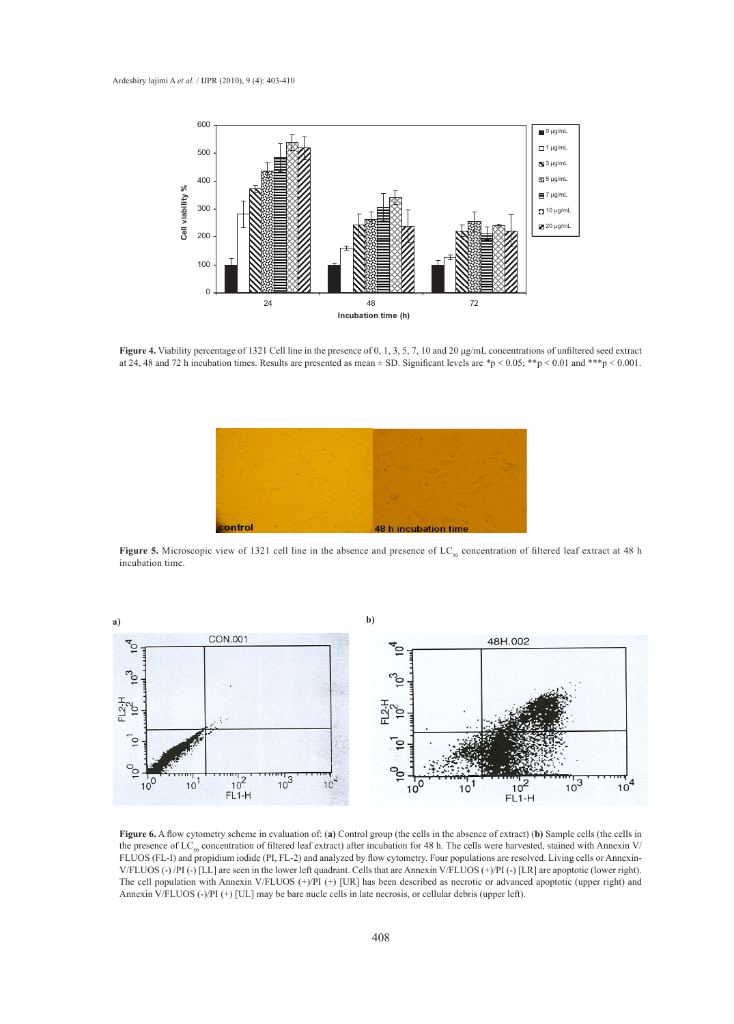

**Figure 4.** Viability percentage of 1321 Cell line in the presence of 0, 1, 3, 5, 7, 10 and 20 μg/mL concentrations of unfiltered seed extract at 24, 48 and 72 h incubation times. Results are presented as mean  $\pm$  SD. Significant levels are  $\gamma$   $> 0.05$ ; \*\*p  $< 0.01$  and \*\*\*p  $< 0.001$ .



**Figure 5.** Microscopic view of 1321 cell line in the absence and presence of  $LC_{50}$  concentration of filtered leaf extract at 48 h incubation time.



the presence of LC<sub>50</sub> concentration of filtered leaf extract) after incubation for 48 h. The cells were harvested, stained with Annexin V/ **Figure 6.** A flow cytometry scheme in evaluation of: (**a)** Control group (the cells in the absence of extract) (**b)** Sample cells (the cells in FLUOS (FL-I) and propidium iodide (PI, FL-2) and analyzed by flow cytometry. Four populations are resolved. Living cells or Annexin-V/FLUOS (-) /PI (-) [LL] are seen in the lower left quadrant. Cells that are Annexin V/FLUOS (+)/PI (-) [LR] are apoptotic (lower right). The cell population with Annexin V/FLUOS (+)/PI (+) [UR] has been described as necrotic or advanced apoptotic (upper right) and Annexin V/FLUOS (-)/PI (+) [UL] may be bare nucle cells in late necrosis, or cellular debris (upper left).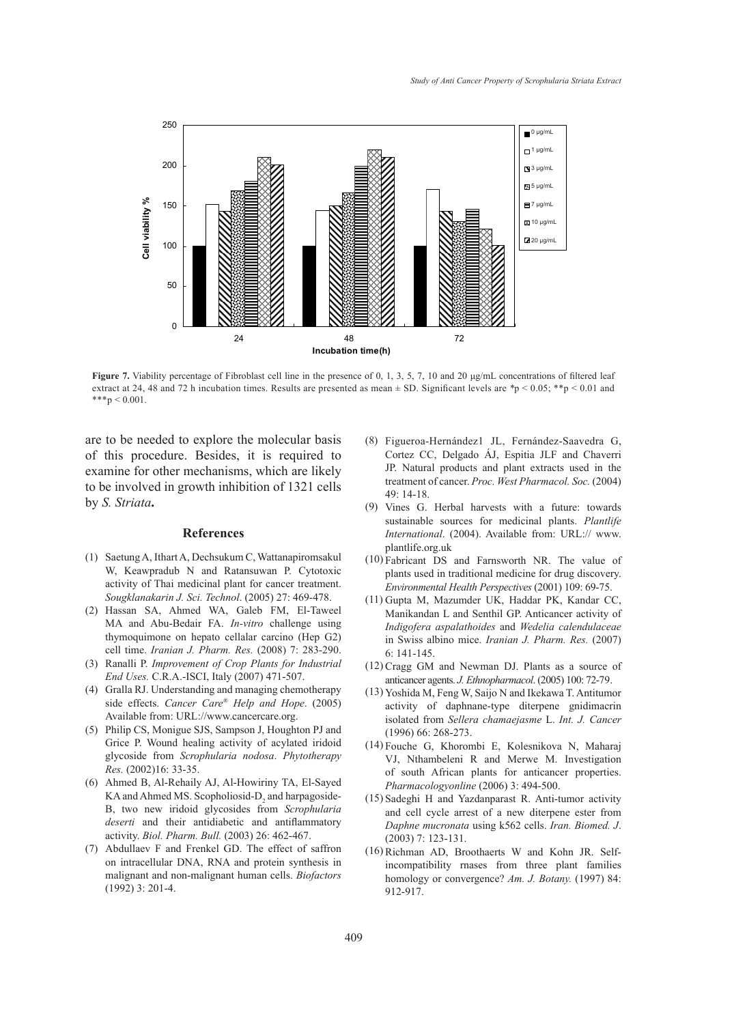

**Figure 7.** Viability percentage of Fibroblast cell line in the presence of 0, 1, 3, 5, 7, 10 and 20  $\mu$ g/mL concentrations of filtered leaf extract at 24, 48 and 72 h incubation times. Results are presented as mean  $\pm$  SD. Significant levels are  $*p < 0.05$ ; \*\*p < 0.01 and  $***p < 0.001$ .

are to be needed to explore the molecular basis of this procedure. Besides, it is required to examine for other mechanisms, which are likely to be involved in growth inhibition of 1321 cells by *S. Striata***.**

### **References**

- Saetung A, Ithart A, Dechsukum C, Wattanapiromsakul (1) W, Keawpradub N and Ratansuwan P. Cytotoxic activity of Thai medicinal plant for cancer treatment. *Sougklanakarin J. Sci. Technol*. (2005) 27: 469-478.
- Hassan SA, Ahmed WA, Galeb FM, El-Taweel (2) MA and Abu-Bedair FA. *In-vitro* challenge using thymoquimone on hepato cellalar carcino (Hep G2) cell time. *Iranian J. Pharm. Res.* (2008) 7: 283-290.
- Ranalli P. *Improvement of Crop Plants for Industrial*  (3) *End Uses.* C.R.A.-ISCI, Italy (2007) 471-507.
- (4) Gralla RJ. Understanding and managing chemotherapy side effects. *Cancer Care® Help and Hope*. (2005) Available from: URL://www.cancercare.org.
- Philip CS, Monigue SJS, Sampson J, Houghton PJ and (5) Grice P. Wound healing activity of acylated iridoid glycoside from *Scrophularia nodosa*. *Phytotherapy Res.* (2002)16: 33-35.
- Ahmed B, Al-Rehaily AJ, Al-Howiriny TA, El-Sayed (6)  $KA$  and Ahmed MS. Scopholiosid- $D_2$  and harpagoside-B, two new iridoid glycosides from *Scrophularia deserti* and their antidiabetic and antiflammatory activity. *Biol. Pharm. Bull.* (2003) 26: 462-467.
- Abdullaev F and Frenkel GD. The effect of saffron (7) on intracellular DNA, RNA and protein synthesis in malignant and non-malignant human cells. *Biofactors* (1992) 3: 201-4.
- Figueroa-Hernández1 JL, Fernández-Saavedra G, (8) Cortez CC, Delgado ÁJ, Espitia JLF and Chaverri JP. Natural products and plant extracts used in the treatment of cancer. *Proc. West Pharmacol. Soc.* (2004) 49: 14-18.
- (9) Vines G. Herbal harvests with a future: towards sustainable sources for medicinal plants. *Plantlife International*. (2004). Available from: URL:// www. plantlife.org.uk
- $(10)$  Fabricant DS and Farnsworth NR. The value of plants used in traditional medicine for drug discovery. *Environmental Health Perspectives* (2001) 109: 69-75.
- (11) Gupta M, Mazumder UK, Haddar PK, Kandar CC, Manikandan L and Senthil GP. Anticancer activity of *Indigofera aspalathoides* and *Wedelia calendulaceae* in Swiss albino mice. *Iranian J. Pharm. Res.* (2007) 6: 141-145.
- (12) Cragg GM and Newman DJ. Plants as a source of anticancer agents. *J. Ethnopharmacol*. (2005) 100: 72-79.
- Yoshida M, Feng W, Saijo N and Ikekawa T. Antitumor (13) activity of daphnane-type diterpene gnidimacrin isolated from *Sellera chamaejasme* L. *Int. J. Cancer* (1996) 66: 268-273.
- Fouche G, Khorombi E, Kolesnikova N, Maharaj (14) VJ, Nthambeleni R and Merwe M. Investigation of south African plants for anticancer properties. *Pharmacologyonline* (2006) 3: 494-500.
- $(15)$  Sadeghi H and Yazdanparast R. Anti-tumor activity and cell cycle arrest of a new diterpene ester from *Daphne mucronata* using k562 cells. *Iran. Biomed. J*. (2003) 7: 123-131.
- (16) Richman AD, Broothaerts W and Kohn JR. Selfincompatibility rnases from three plant families homology or convergence? *Am. J. Botany.* (1997) 84: 912-917.